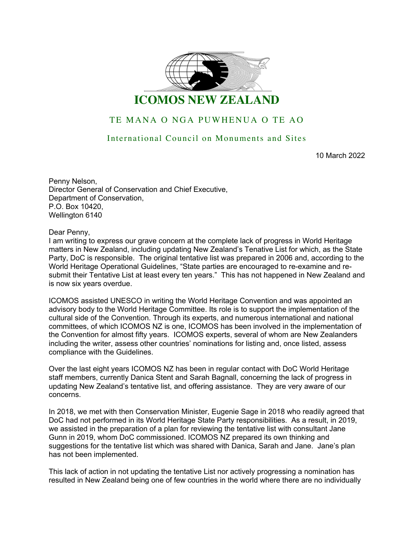

## TE MANA O NGA PUWHENUA O TE AO

## International Council on Monuments and Sites

10 March 2022

Penny Nelson, Director General of Conservation and Chief Executive, Department of Conservation, P.O. Box 10420, Wellington 6140

Dear Penny,

I am writing to express our grave concern at the complete lack of progress in World Heritage matters in New Zealand, including updating New Zealand's Tenative List for which, as the State Party, DoC is responsible. The original tentative list was prepared in 2006 and, according to the World Heritage Operational Guidelines, "State parties are encouraged to re-examine and resubmit their Tentative List at least every ten years." This has not happened in New Zealand and is now six years overdue.

ICOMOS assisted UNESCO in writing the World Heritage Convention and was appointed an advisory body to the World Heritage Committee. Its role is to support the implementation of the cultural side of the Convention. Through its experts, and numerous international and national committees, of which ICOMOS NZ is one, ICOMOS has been involved in the implementation of the Convention for almost fifty years. ICOMOS experts, several of whom are New Zealanders including the writer, assess other countries' nominations for listing and, once listed, assess compliance with the Guidelines.

Over the last eight years ICOMOS NZ has been in regular contact with DoC World Heritage staff members, currently Danica Stent and Sarah Bagnall, concerning the lack of progress in updating New Zealand's tentative list, and offering assistance. They are very aware of our concerns.

In 2018, we met with then Conservation Minister, Eugenie Sage in 2018 who readily agreed that DoC had not performed in its World Heritage State Party responsibilities. As a result, in 2019, we assisted in the preparation of a plan for reviewing the tentative list with consultant Jane Gunn in 2019, whom DoC commissioned. ICOMOS NZ prepared its own thinking and suggestions for the tentative list which was shared with Danica, Sarah and Jane. Jane's plan has not been implemented.

This lack of action in not updating the tentative List nor actively progressing a nomination has resulted in New Zealand being one of few countries in the world where there are no individually